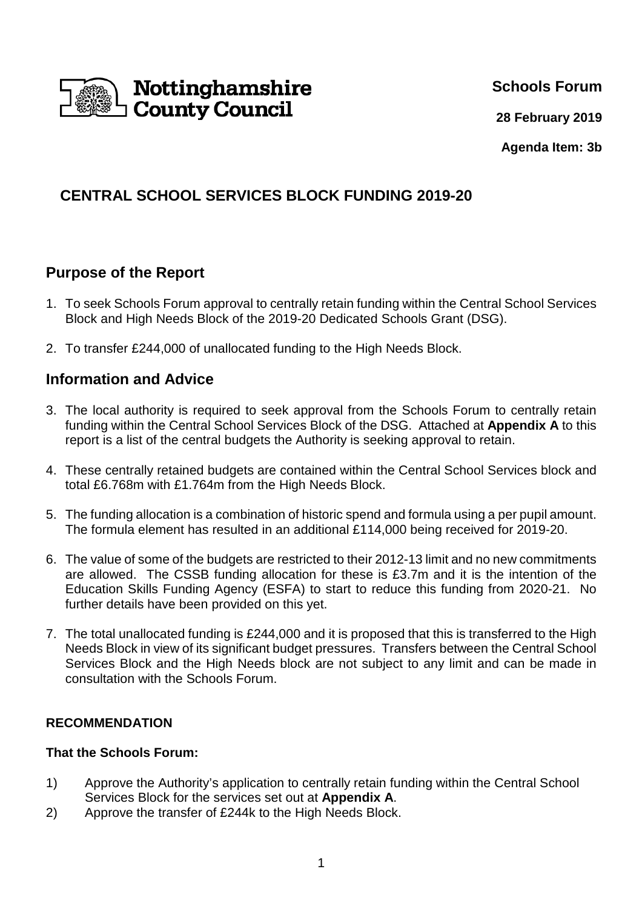

**Schools Forum**

**28 February 2019**

**Agenda Item: 3b**

# **CENTRAL SCHOOL SERVICES BLOCK FUNDING 2019-20**

## **Purpose of the Report**

- 1. To seek Schools Forum approval to centrally retain funding within the Central School Services Block and High Needs Block of the 2019-20 Dedicated Schools Grant (DSG).
- 2. To transfer £244,000 of unallocated funding to the High Needs Block.

## **Information and Advice**

- 3. The local authority is required to seek approval from the Schools Forum to centrally retain funding within the Central School Services Block of the DSG. Attached at **Appendix A** to this report is a list of the central budgets the Authority is seeking approval to retain.
- 4. These centrally retained budgets are contained within the Central School Services block and total £6.768m with £1.764m from the High Needs Block.
- 5. The funding allocation is a combination of historic spend and formula using a per pupil amount. The formula element has resulted in an additional £114,000 being received for 2019-20.
- 6. The value of some of the budgets are restricted to their 2012-13 limit and no new commitments are allowed. The CSSB funding allocation for these is £3.7m and it is the intention of the Education Skills Funding Agency (ESFA) to start to reduce this funding from 2020-21. No further details have been provided on this yet.
- 7. The total unallocated funding is £244,000 and it is proposed that this is transferred to the High Needs Block in view of its significant budget pressures. Transfers between the Central School Services Block and the High Needs block are not subject to any limit and can be made in consultation with the Schools Forum.

#### **RECOMMENDATION**

#### **That the Schools Forum:**

- 1) Approve the Authority's application to centrally retain funding within the Central School Services Block for the services set out at **Appendix A**.
- 2) Approve the transfer of £244k to the High Needs Block.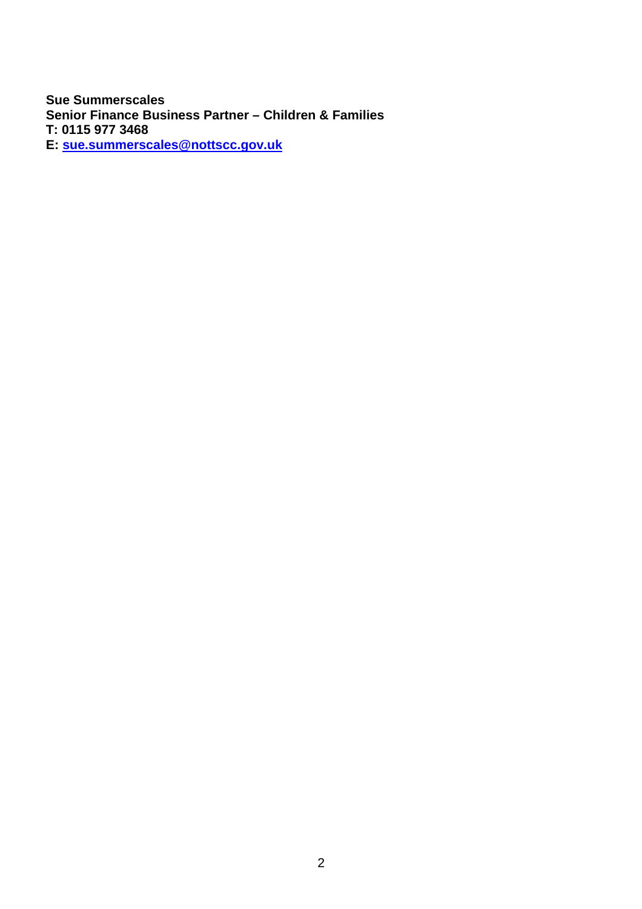**Sue Summerscales Senior Finance Business Partner – Children & Families T: 0115 977 3468 E: sue.summerscales@nottscc.gov.uk**